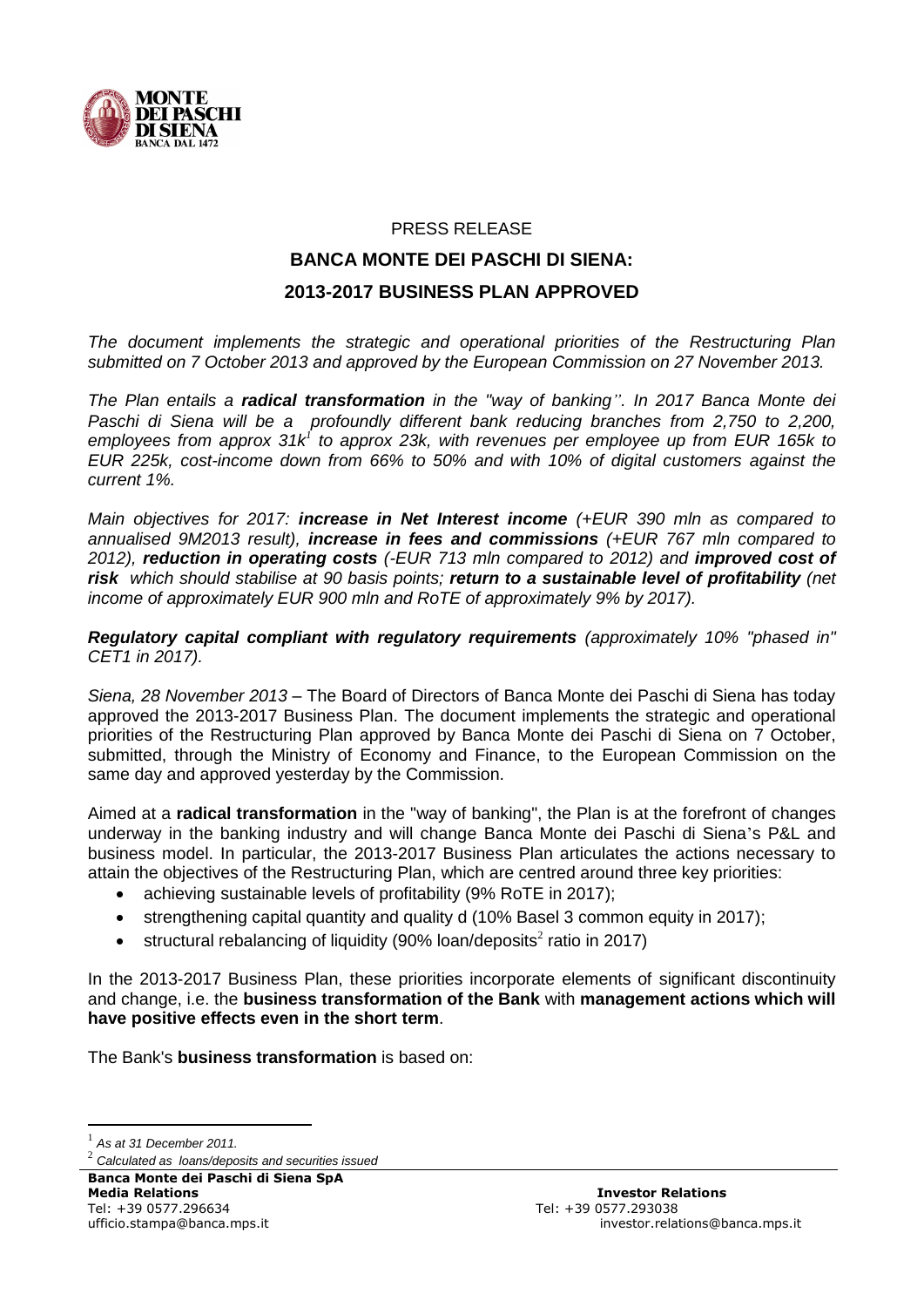

#### PRESS RELEASE

# **BANCA MONTE DEI PASCHI DI SIENA: 2013-2017 BUSINESS PLAN APPROVED**

*The document implements the strategic and operational priorities of the Restructuring Plan submitted on 7 October 2013 and approved by the European Commission on 27 November 2013.*

*The Plan entails a radical transformation in the "way of banking". In 2017 Banca Monte dei Paschi di Siena will be a profoundly different bank reducing branches from 2,750 to 2,200, employees from approx 31k 1 to approx 23k, with revenues per employee up from EUR 165k to EUR 225k, cost-income down from 66% to 50% and with 10% of digital customers against the current 1%.*

*Main objectives for 2017: increase in Net Interest income (+EUR 390 mln as compared to annualised 9M2013 result), increase in fees and commissions (+EUR 767 mln compared to 2012), reduction in operating costs (-EUR 713 mln compared to 2012) and improved cost of risk which should stabilise at 90 basis points; return to a sustainable level of profitability (net income of approximately EUR 900 mln and RoTE of approximately 9% by 2017).* 

*Regulatory capital compliant with regulatory requirements (approximately 10% "phased in" CET1 in 2017).*

*Siena, 28 November 2013* – The Board of Directors of Banca Monte dei Paschi di Siena has today approved the 2013-2017 Business Plan. The document implements the strategic and operational priorities of the Restructuring Plan approved by Banca Monte dei Paschi di Siena on 7 October, submitted, through the Ministry of Economy and Finance, to the European Commission on the same day and approved yesterday by the Commission.

Aimed at a **radical transformation** in the "way of banking", the Plan is at the forefront of changes underway in the banking industry and will change Banca Monte dei Paschi di Siena's P&L and business model. In particular, the 2013-2017 Business Plan articulates the actions necessary to attain the objectives of the Restructuring Plan, which are centred around three key priorities:

- achieving sustainable levels of profitability (9% RoTE in 2017);
- strengthening capital quantity and quality d (10% Basel 3 common equity in 2017);
- structural rebalancing of liquidity (90% loan/deposits<sup>2</sup> ratio in 2017)

In the 2013-2017 Business Plan, these priorities incorporate elements of significant discontinuity and change, i.e. the **business transformation of the Bank** with **management actions which will have positive effects even in the short term**.

The Bank's **business transformation** is based on:

1 *As at 31 December 2011.*

1

**Banca Monte dei Paschi di Siena SpA Media Relations Investor Relations**

<sup>2</sup> *Calculated as loans/deposits and securities issued*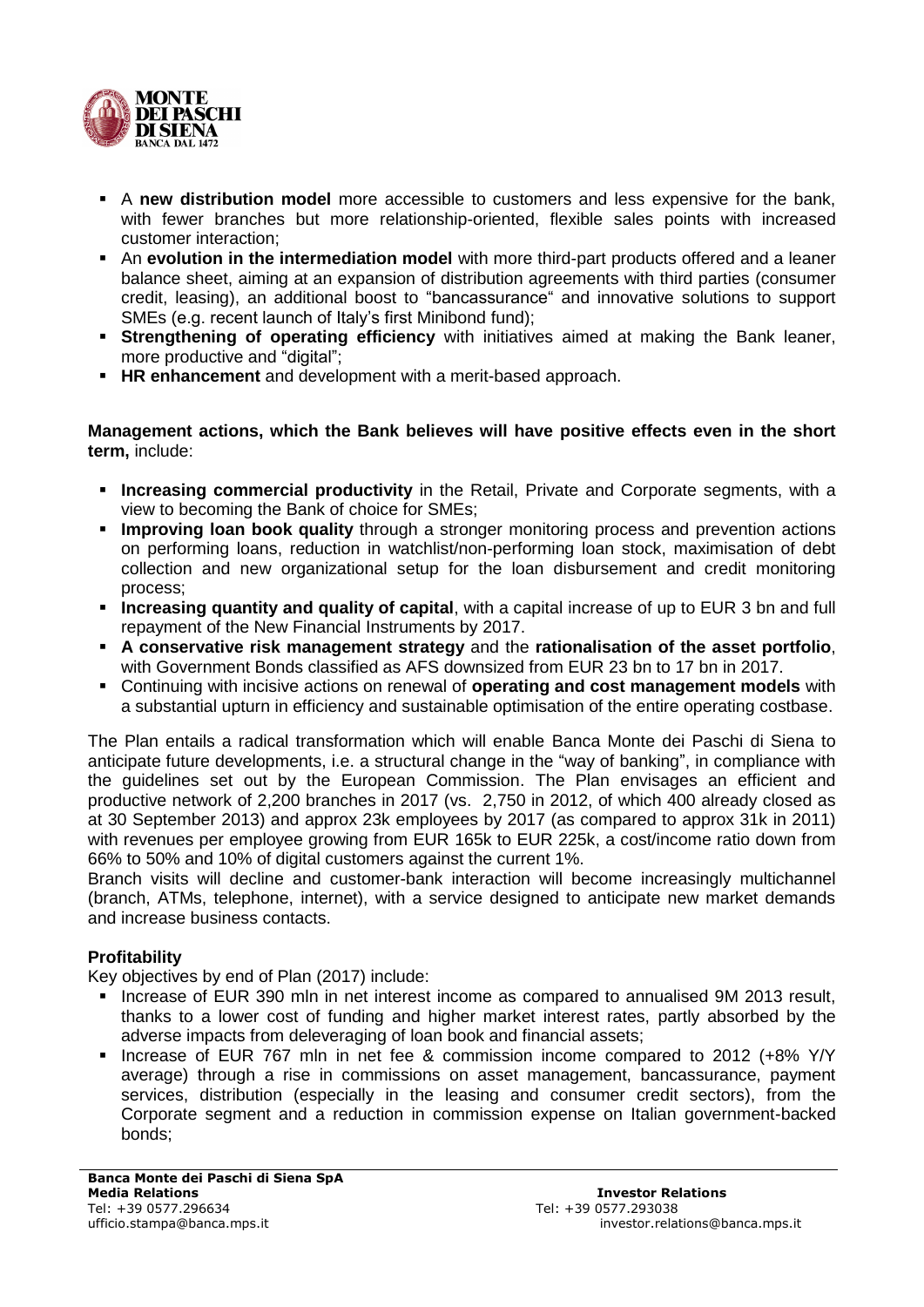

- A **new distribution model** more accessible to customers and less expensive for the bank, with fewer branches but more relationship-oriented, flexible sales points with increased customer interaction;
- An **evolution in the intermediation model** with more third-part products offered and a leaner balance sheet, aiming at an expansion of distribution agreements with third parties (consumer credit, leasing), an additional boost to "bancassurance" and innovative solutions to support SMEs (e.g. recent launch of Italy's first Minibond fund);
- **Strengthening of operating efficiency** with initiatives aimed at making the Bank leaner, more productive and "digital";
- **HR enhancement** and development with a merit-based approach.

**Management actions, which the Bank believes will have positive effects even in the short term,** include:

- **Increasing commercial productivity** in the Retail, Private and Corporate segments, with a view to becoming the Bank of choice for SMEs;
- **Improving loan book quality** through a stronger monitoring process and prevention actions on performing loans, reduction in watchlist/non-performing loan stock, maximisation of debt collection and new organizational setup for the loan disbursement and credit monitoring process;
- **Increasing quantity and quality of capital**, with a capital increase of up to EUR 3 bn and full repayment of the New Financial Instruments by 2017.
- **A conservative risk management strategy** and the **rationalisation of the asset portfolio**, with Government Bonds classified as AFS downsized from EUR 23 bn to 17 bn in 2017.
- Continuing with incisive actions on renewal of **operating and cost management models** with a substantial upturn in efficiency and sustainable optimisation of the entire operating costbase.

The Plan entails a radical transformation which will enable Banca Monte dei Paschi di Siena to anticipate future developments, i.e. a structural change in the "way of banking", in compliance with the guidelines set out by the European Commission. The Plan envisages an efficient and productive network of 2,200 branches in 2017 (vs. 2,750 in 2012, of which 400 already closed as at 30 September 2013) and approx 23k employees by 2017 (as compared to approx 31k in 2011) with revenues per employee growing from EUR 165k to EUR 225k, a cost/income ratio down from 66% to 50% and 10% of digital customers against the current 1%.

Branch visits will decline and customer-bank interaction will become increasingly multichannel (branch, ATMs, telephone, internet), with a service designed to anticipate new market demands and increase business contacts.

## **Profitability**

Key objectives by end of Plan (2017) include:

- Increase of EUR 390 mln in net interest income as compared to annualised 9M 2013 result. thanks to a lower cost of funding and higher market interest rates, partly absorbed by the adverse impacts from deleveraging of loan book and financial assets;
- Increase of EUR 767 mln in net fee & commission income compared to 2012 (+8% Y/Y average) through a rise in commissions on asset management, bancassurance, payment services, distribution (especially in the leasing and consumer credit sectors), from the Corporate segment and a reduction in commission expense on Italian government-backed bonds;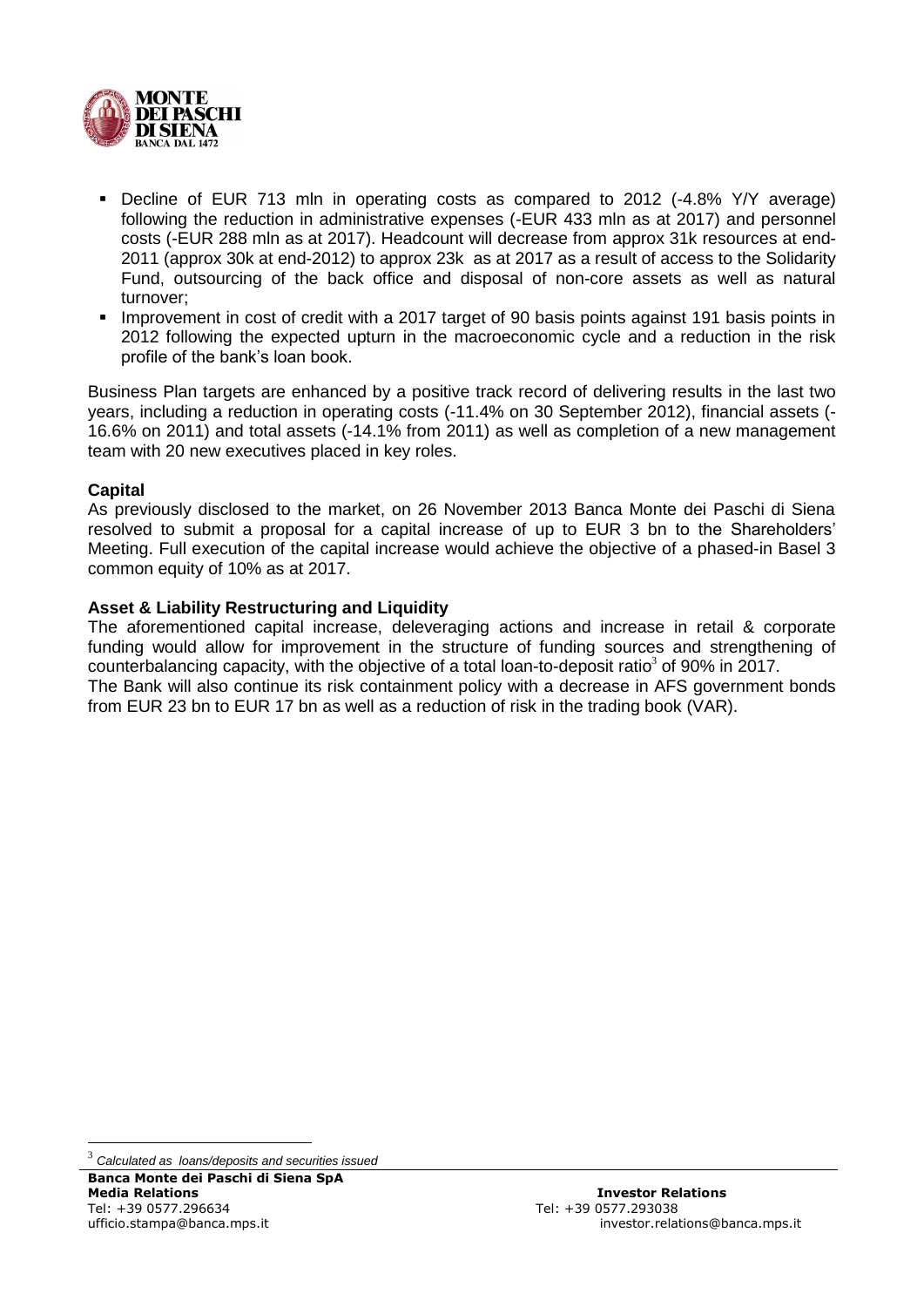

- Decline of EUR 713 mln in operating costs as compared to 2012 (-4.8% Y/Y average) following the reduction in administrative expenses (-EUR 433 mln as at 2017) and personnel costs (-EUR 288 mln as at 2017). Headcount will decrease from approx 31k resources at end-2011 (approx 30k at end-2012) to approx 23k as at 2017 as a result of access to the Solidarity Fund, outsourcing of the back office and disposal of non-core assets as well as natural turnover;
- Improvement in cost of credit with a 2017 target of 90 basis points against 191 basis points in 2012 following the expected upturn in the macroeconomic cycle and a reduction in the risk profile of the bank's loan book.

Business Plan targets are enhanced by a positive track record of delivering results in the last two years, including a reduction in operating costs (-11.4% on 30 September 2012), financial assets (- 16.6% on 2011) and total assets (-14.1% from 2011) as well as completion of a new management team with 20 new executives placed in key roles.

## **Capital**

As previously disclosed to the market, on 26 November 2013 Banca Monte dei Paschi di Siena resolved to submit a proposal for a capital increase of up to EUR 3 bn to the Shareholders' Meeting. Full execution of the capital increase would achieve the objective of a phased-in Basel 3 common equity of 10% as at 2017.

#### **Asset & Liability Restructuring and Liquidity**

The aforementioned capital increase, deleveraging actions and increase in retail & corporate funding would allow for improvement in the structure of funding sources and strengthening of counterbalancing capacity, with the objective of a total loan-to-deposit ratio<sup>3</sup> of 90% in 2017. The Bank will also continue its risk containment policy with a decrease in AFS government bonds from EUR 23 bn to EUR 17 bn as well as a reduction of risk in the trading book (VAR).

<u>.</u>

<sup>3</sup> *Calculated as loans/deposits and securities issued*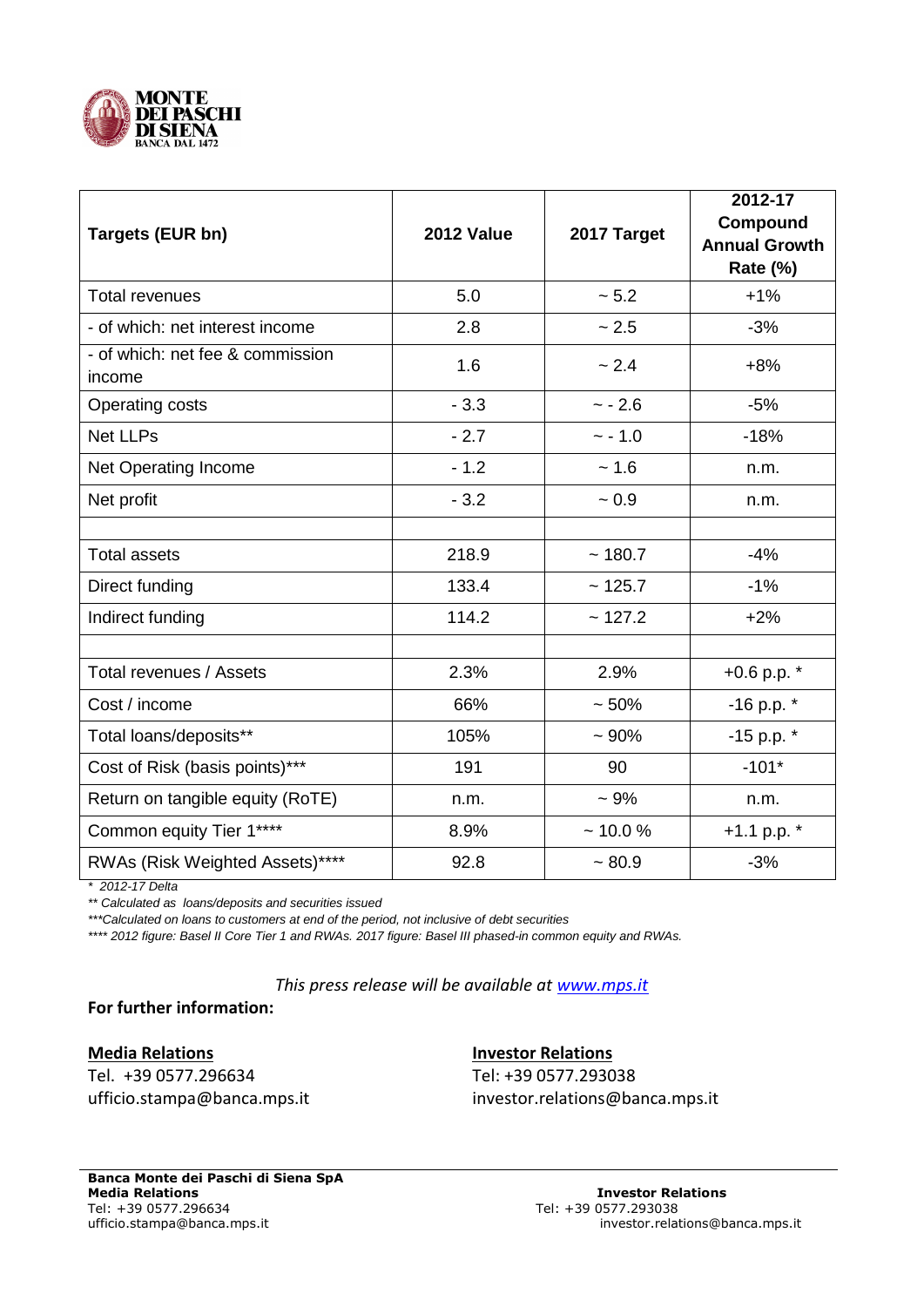

| Targets (EUR bn)                           | <b>2012 Value</b> | 2017 Target | 2012-17<br>Compound<br><b>Annual Growth</b><br>Rate (%) |
|--------------------------------------------|-------------------|-------------|---------------------------------------------------------|
| <b>Total revenues</b>                      | 5.0               | ~5.2        | $+1%$                                                   |
| - of which: net interest income            | 2.8               | ~2.5        | $-3%$                                                   |
| - of which: net fee & commission<br>income | 1.6               | ~2.4        | $+8%$                                                   |
| Operating costs                            | $-3.3$            | $~- 2.6$    | $-5%$                                                   |
| <b>Net LLPs</b>                            | $-2.7$            | $~-1.0$     | $-18%$                                                  |
| Net Operating Income                       | $-1.2$            | ~1.6        | n.m.                                                    |
| Net profit                                 | $-3.2$            | $~1$ 0.9    | n.m.                                                    |
|                                            |                   |             |                                                         |
| <b>Total assets</b>                        | 218.9             | ~180.7      | $-4%$                                                   |
| Direct funding                             | 133.4             | ~125.7      | $-1%$                                                   |
| Indirect funding                           | 114.2             | ~127.2      | $+2%$                                                   |
|                                            |                   |             |                                                         |
| Total revenues / Assets                    | 2.3%              | 2.9%        | $+0.6$ p.p. $*$                                         |
| Cost / income                              | 66%               | $~50\%$     | -16 p.p. *                                              |
| Total loans/deposits**                     | 105%              | ~100%       | $-15$ p.p. $*$                                          |
| Cost of Risk (basis points)***             | 191               | 90          | $-101*$                                                 |
| Return on tangible equity (RoTE)           | n.m.              | $~10\%$     | n.m.                                                    |
| Common equity Tier 1****                   | 8.9%              | ~10.0%      | +1.1 p.p. $*$                                           |
| RWAs (Risk Weighted Assets)****            | 92.8              | ~1.80.9     | $-3%$                                                   |

*\* 2012-17 Delta*

*\*\* Calculated as loans/deposits and securities issued*

*\*\*\*Calculated on loans to customers at end of the period, not inclusive of debt securities* 

*\*\*\*\* 2012 figure: Basel II Core Tier 1 and RWAs. 2017 figure: Basel III phased-in common equity and RWAs.*

*This press release will be available at [www.mps.it](http://www.mps.it/)*

**For further information:**

**Media Relations [Investor Relations](mailto:investor.relations@banca.mps.it)** Tel. +39 0577.296634 Tel: +39 0577.293038

ufficio.stamp[a@banca.mps.it](mailto:investor.relations@banca.mps.it) investor.relations@banca.mps.it